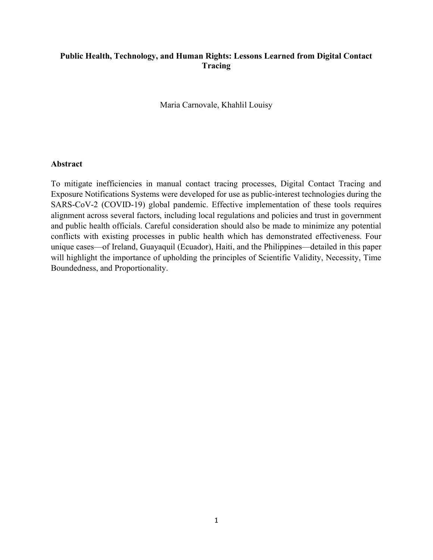## Public Health, Technology, and Human Rights: Lessons Learned from Digital Contact Tracing

Maria Carnovale, Khahlil Louisy

#### Abstract

To mitigate inefficiencies in manual contact tracing processes, Digital Contact Tracing and Exposure Notifications Systems were developed for use as public-interest technologies during the SARS-CoV-2 (COVID-19) global pandemic. Effective implementation of these tools requires alignment across several factors, including local regulations and policies and trust in government and public health officials. Careful consideration should also be made to minimize any potential conflicts with existing processes in public health which has demonstrated effectiveness. Four unique cases—of Ireland, Guayaquil (Ecuador), Haiti, and the Philippines—detailed in this paper will highlight the importance of upholding the principles of Scientific Validity, Necessity, Time Boundedness, and Proportionality.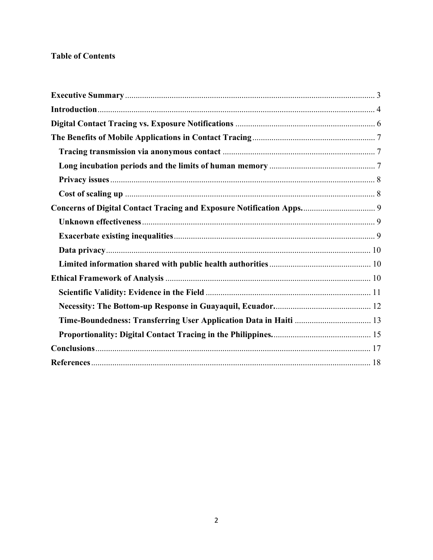# **Table of Contents**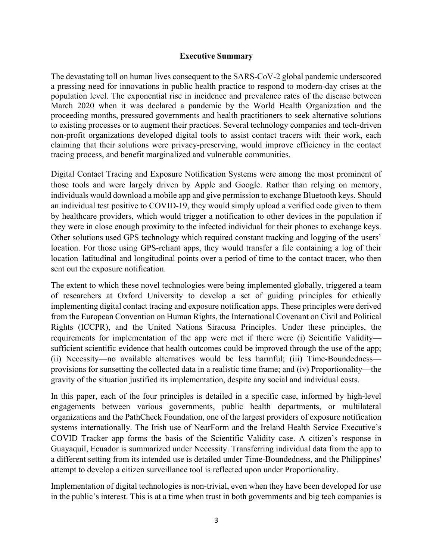### Executive Summary

The devastating toll on human lives consequent to the SARS-CoV-2 global pandemic underscored a pressing need for innovations in public health practice to respond to modern-day crises at the population level. The exponential rise in incidence and prevalence rates of the disease between March 2020 when it was declared a pandemic by the World Health Organization and the proceeding months, pressured governments and health practitioners to seek alternative solutions to existing processes or to augment their practices. Several technology companies and tech-driven non-profit organizations developed digital tools to assist contact tracers with their work, each claiming that their solutions were privacy-preserving, would improve efficiency in the contact tracing process, and benefit marginalized and vulnerable communities.

Digital Contact Tracing and Exposure Notification Systems were among the most prominent of those tools and were largely driven by Apple and Google. Rather than relying on memory, individuals would download a mobile app and give permission to exchange Bluetooth keys. Should an individual test positive to COVID-19, they would simply upload a verified code given to them by healthcare providers, which would trigger a notification to other devices in the population if they were in close enough proximity to the infected individual for their phones to exchange keys. Other solutions used GPS technology which required constant tracking and logging of the users' location. For those using GPS-reliant apps, they would transfer a file containing a log of their location–latitudinal and longitudinal points over a period of time to the contact tracer, who then sent out the exposure notification.

The extent to which these novel technologies were being implemented globally, triggered a team of researchers at Oxford University to develop a set of guiding principles for ethically implementing digital contact tracing and exposure notification apps. These principles were derived from the European Convention on Human Rights, the International Covenant on Civil and Political Rights (ICCPR), and the United Nations Siracusa Principles. Under these principles, the requirements for implementation of the app were met if there were (i) Scientific Validity sufficient scientific evidence that health outcomes could be improved through the use of the app; (ii) Necessity—no available alternatives would be less harmful; (iii) Time-Boundedness provisions for sunsetting the collected data in a realistic time frame; and (iv) Proportionality—the gravity of the situation justified its implementation, despite any social and individual costs.

In this paper, each of the four principles is detailed in a specific case, informed by high-level engagements between various governments, public health departments, or multilateral organizations and the PathCheck Foundation, one of the largest providers of exposure notification systems internationally. The Irish use of NearForm and the Ireland Health Service Executive's COVID Tracker app forms the basis of the Scientific Validity case. A citizen's response in Guayaquil, Ecuador is summarized under Necessity. Transferring individual data from the app to a different setting from its intended use is detailed under Time-Boundedness, and the Philippines' attempt to develop a citizen surveillance tool is reflected upon under Proportionality.

Implementation of digital technologies is non-trivial, even when they have been developed for use in the public's interest. This is at a time when trust in both governments and big tech companies is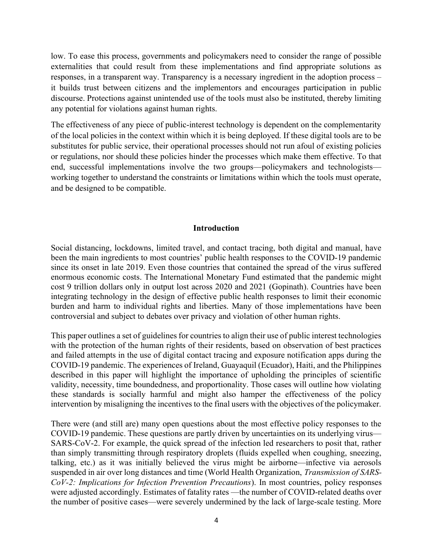low. To ease this process, governments and policymakers need to consider the range of possible externalities that could result from these implementations and find appropriate solutions as responses, in a transparent way. Transparency is a necessary ingredient in the adoption process – it builds trust between citizens and the implementors and encourages participation in public discourse. Protections against unintended use of the tools must also be instituted, thereby limiting any potential for violations against human rights.

The effectiveness of any piece of public-interest technology is dependent on the complementarity of the local policies in the context within which it is being deployed. If these digital tools are to be substitutes for public service, their operational processes should not run afoul of existing policies or regulations, nor should these policies hinder the processes which make them effective. To that end, successful implementations involve the two groups—policymakers and technologists working together to understand the constraints or limitations within which the tools must operate, and be designed to be compatible.

#### Introduction

Social distancing, lockdowns, limited travel, and contact tracing, both digital and manual, have been the main ingredients to most countries' public health responses to the COVID-19 pandemic since its onset in late 2019. Even those countries that contained the spread of the virus suffered enormous economic costs. The International Monetary Fund estimated that the pandemic might cost 9 trillion dollars only in output lost across 2020 and 2021 (Gopinath). Countries have been integrating technology in the design of effective public health responses to limit their economic burden and harm to individual rights and liberties. Many of those implementations have been controversial and subject to debates over privacy and violation of other human rights.

This paper outlines a set of guidelines for countries to align their use of public interest technologies with the protection of the human rights of their residents, based on observation of best practices and failed attempts in the use of digital contact tracing and exposure notification apps during the COVID-19 pandemic. The experiences of Ireland, Guayaquil (Ecuador), Haiti, and the Philippines described in this paper will highlight the importance of upholding the principles of scientific validity, necessity, time boundedness, and proportionality. Those cases will outline how violating these standards is socially harmful and might also hamper the effectiveness of the policy intervention by misaligning the incentives to the final users with the objectives of the policymaker.

There were (and still are) many open questions about the most effective policy responses to the COVID-19 pandemic. These questions are partly driven by uncertainties on its underlying virus— SARS-CoV-2. For example, the quick spread of the infection led researchers to posit that, rather than simply transmitting through respiratory droplets (fluids expelled when coughing, sneezing, talking, etc.) as it was initially believed the virus might be airborne—infective via aerosols suspended in air over long distances and time (World Health Organization, Transmission of SARS-CoV-2: Implications for Infection Prevention Precautions). In most countries, policy responses were adjusted accordingly. Estimates of fatality rates —the number of COVID-related deaths over the number of positive cases—were severely undermined by the lack of large-scale testing. More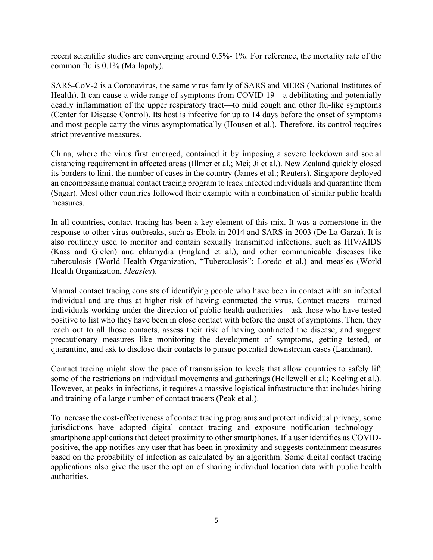recent scientific studies are converging around 0.5%- 1%. For reference, the mortality rate of the common flu is 0.1% (Mallapaty).

SARS-CoV-2 is a Coronavirus, the same virus family of SARS and MERS (National Institutes of Health). It can cause a wide range of symptoms from COVID-19—a debilitating and potentially deadly inflammation of the upper respiratory tract—to mild cough and other flu-like symptoms (Center for Disease Control). Its host is infective for up to 14 days before the onset of symptoms and most people carry the virus asymptomatically (Housen et al.). Therefore, its control requires strict preventive measures.

China, where the virus first emerged, contained it by imposing a severe lockdown and social distancing requirement in affected areas (Illmer et al.; Mei; Ji et al.). New Zealand quickly closed its borders to limit the number of cases in the country (James et al.; Reuters). Singapore deployed an encompassing manual contact tracing program to track infected individuals and quarantine them (Sagar). Most other countries followed their example with a combination of similar public health measures.

In all countries, contact tracing has been a key element of this mix. It was a cornerstone in the response to other virus outbreaks, such as Ebola in 2014 and SARS in 2003 (De La Garza). It is also routinely used to monitor and contain sexually transmitted infections, such as HIV/AIDS (Kass and Gielen) and chlamydia (England et al.), and other communicable diseases like tuberculosis (World Health Organization, "Tuberculosis"; Loredo et al.) and measles (World Health Organization, Measles).

Manual contact tracing consists of identifying people who have been in contact with an infected individual and are thus at higher risk of having contracted the virus. Contact tracers—trained individuals working under the direction of public health authorities—ask those who have tested positive to list who they have been in close contact with before the onset of symptoms. Then, they reach out to all those contacts, assess their risk of having contracted the disease, and suggest precautionary measures like monitoring the development of symptoms, getting tested, or quarantine, and ask to disclose their contacts to pursue potential downstream cases (Landman).

Contact tracing might slow the pace of transmission to levels that allow countries to safely lift some of the restrictions on individual movements and gatherings (Hellewell et al.; Keeling et al.). However, at peaks in infections, it requires a massive logistical infrastructure that includes hiring and training of a large number of contact tracers (Peak et al.).

To increase the cost-effectiveness of contact tracing programs and protect individual privacy, some jurisdictions have adopted digital contact tracing and exposure notification technology smartphone applications that detect proximity to other smartphones. If a user identifies as COVIDpositive, the app notifies any user that has been in proximity and suggests containment measures based on the probability of infection as calculated by an algorithm. Some digital contact tracing applications also give the user the option of sharing individual location data with public health authorities.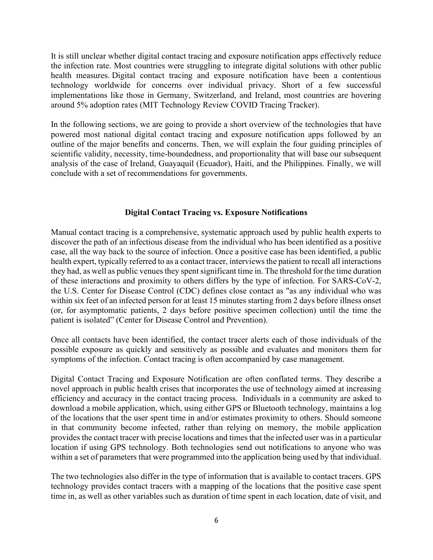It is still unclear whether digital contact tracing and exposure notification apps effectively reduce the infection rate. Most countries were struggling to integrate digital solutions with other public health measures. Digital contact tracing and exposure notification have been a contentious technology worldwide for concerns over individual privacy. Short of a few successful implementations like those in Germany, Switzerland, and Ireland, most countries are hovering around 5% adoption rates (MIT Technology Review COVID Tracing Tracker).

In the following sections, we are going to provide a short overview of the technologies that have powered most national digital contact tracing and exposure notification apps followed by an outline of the major benefits and concerns. Then, we will explain the four guiding principles of scientific validity, necessity, time-boundedness, and proportionality that will base our subsequent analysis of the case of Ireland, Guayaquil (Ecuador), Haiti, and the Philippines. Finally, we will conclude with a set of recommendations for governments.

### Digital Contact Tracing vs. Exposure Notifications

Manual contact tracing is a comprehensive, systematic approach used by public health experts to discover the path of an infectious disease from the individual who has been identified as a positive case, all the way back to the source of infection. Once a positive case has been identified, a public health expert, typically referred to as a contact tracer, interviews the patient to recall all interactions they had, as well as public venues they spent significant time in. The threshold for the time duration of these interactions and proximity to others differs by the type of infection. For SARS-CoV-2, the U.S. Center for Disease Control (CDC) defines close contact as "as any individual who was within six feet of an infected person for at least 15 minutes starting from 2 days before illness onset (or, for asymptomatic patients, 2 days before positive specimen collection) until the time the patient is isolated" (Center for Disease Control and Prevention).

Once all contacts have been identified, the contact tracer alerts each of those individuals of the possible exposure as quickly and sensitively as possible and evaluates and monitors them for symptoms of the infection. Contact tracing is often accompanied by case management.

Digital Contact Tracing and Exposure Notification are often conflated terms. They describe a novel approach in public health crises that incorporates the use of technology aimed at increasing efficiency and accuracy in the contact tracing process. Individuals in a community are asked to download a mobile application, which, using either GPS or Bluetooth technology, maintains a log of the locations that the user spent time in and/or estimates proximity to others. Should someone in that community become infected, rather than relying on memory, the mobile application provides the contact tracer with precise locations and times that the infected user was in a particular location if using GPS technology. Both technologies send out notifications to anyone who was within a set of parameters that were programmed into the application being used by that individual.

The two technologies also differ in the type of information that is available to contact tracers. GPS technology provides contact tracers with a mapping of the locations that the positive case spent time in, as well as other variables such as duration of time spent in each location, date of visit, and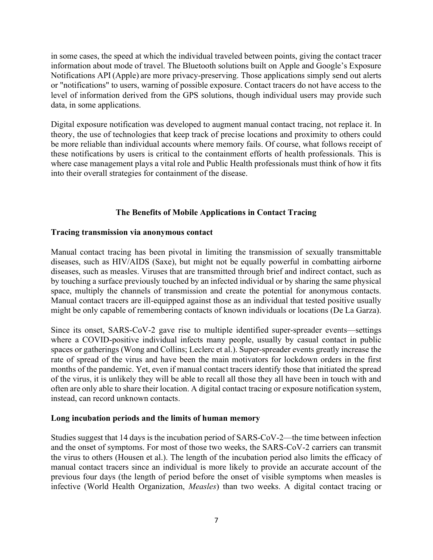in some cases, the speed at which the individual traveled between points, giving the contact tracer information about mode of travel. The Bluetooth solutions built on Apple and Google's Exposure Notifications API (Apple) are more privacy-preserving. Those applications simply send out alerts or "notifications" to users, warning of possible exposure. Contact tracers do not have access to the level of information derived from the GPS solutions, though individual users may provide such data, in some applications.

Digital exposure notification was developed to augment manual contact tracing, not replace it. In theory, the use of technologies that keep track of precise locations and proximity to others could be more reliable than individual accounts where memory fails. Of course, what follows receipt of these notifications by users is critical to the containment efforts of health professionals. This is where case management plays a vital role and Public Health professionals must think of how it fits into their overall strategies for containment of the disease.

## The Benefits of Mobile Applications in Contact Tracing

### Tracing transmission via anonymous contact

Manual contact tracing has been pivotal in limiting the transmission of sexually transmittable diseases, such as HIV/AIDS (Saxe), but might not be equally powerful in combatting airborne diseases, such as measles. Viruses that are transmitted through brief and indirect contact, such as by touching a surface previously touched by an infected individual or by sharing the same physical space, multiply the channels of transmission and create the potential for anonymous contacts. Manual contact tracers are ill-equipped against those as an individual that tested positive usually might be only capable of remembering contacts of known individuals or locations (De La Garza).

Since its onset, SARS-CoV-2 gave rise to multiple identified super-spreader events—settings where a COVID-positive individual infects many people, usually by casual contact in public spaces or gatherings (Wong and Collins; Leclerc et al.). Super-spreader events greatly increase the rate of spread of the virus and have been the main motivators for lockdown orders in the first months of the pandemic. Yet, even if manual contact tracers identify those that initiated the spread of the virus, it is unlikely they will be able to recall all those they all have been in touch with and often are only able to share their location. A digital contact tracing or exposure notification system, instead, can record unknown contacts.

## Long incubation periods and the limits of human memory

Studies suggest that 14 days is the incubation period of SARS-CoV-2—the time between infection and the onset of symptoms. For most of those two weeks, the SARS-CoV-2 carriers can transmit the virus to others (Housen et al.). The length of the incubation period also limits the efficacy of manual contact tracers since an individual is more likely to provide an accurate account of the previous four days (the length of period before the onset of visible symptoms when measles is infective (World Health Organization, Measles) than two weeks. A digital contact tracing or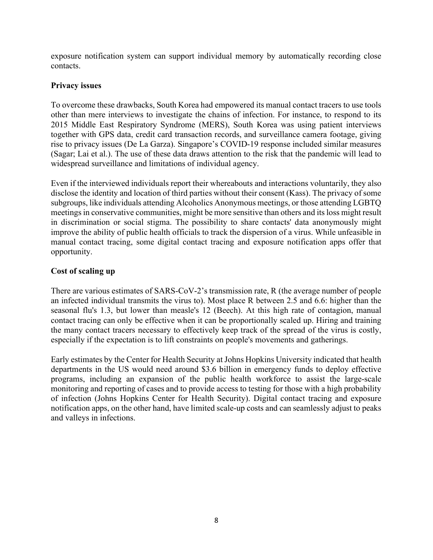exposure notification system can support individual memory by automatically recording close contacts.

### Privacy issues

To overcome these drawbacks, South Korea had empowered its manual contact tracers to use tools other than mere interviews to investigate the chains of infection. For instance, to respond to its 2015 Middle East Respiratory Syndrome (MERS), South Korea was using patient interviews together with GPS data, credit card transaction records, and surveillance camera footage, giving rise to privacy issues (De La Garza). Singapore's COVID-19 response included similar measures (Sagar; Lai et al.). The use of these data draws attention to the risk that the pandemic will lead to widespread surveillance and limitations of individual agency.

Even if the interviewed individuals report their whereabouts and interactions voluntarily, they also disclose the identity and location of third parties without their consent (Kass). The privacy of some subgroups, like individuals attending Alcoholics Anonymous meetings, or those attending LGBTQ meetings in conservative communities, might be more sensitive than others and its loss might result in discrimination or social stigma. The possibility to share contacts' data anonymously might improve the ability of public health officials to track the dispersion of a virus. While unfeasible in manual contact tracing, some digital contact tracing and exposure notification apps offer that opportunity.

## Cost of scaling up

There are various estimates of SARS-CoV-2's transmission rate, R (the average number of people an infected individual transmits the virus to). Most place R between 2.5 and 6.6: higher than the seasonal flu's 1.3, but lower than measle's 12 (Beech). At this high rate of contagion, manual contact tracing can only be effective when it can be proportionally scaled up. Hiring and training the many contact tracers necessary to effectively keep track of the spread of the virus is costly, especially if the expectation is to lift constraints on people's movements and gatherings.

Early estimates by the Center for Health Security at Johns Hopkins University indicated that health departments in the US would need around \$3.6 billion in emergency funds to deploy effective programs, including an expansion of the public health workforce to assist the large-scale monitoring and reporting of cases and to provide access to testing for those with a high probability of infection (Johns Hopkins Center for Health Security). Digital contact tracing and exposure notification apps, on the other hand, have limited scale-up costs and can seamlessly adjust to peaks and valleys in infections.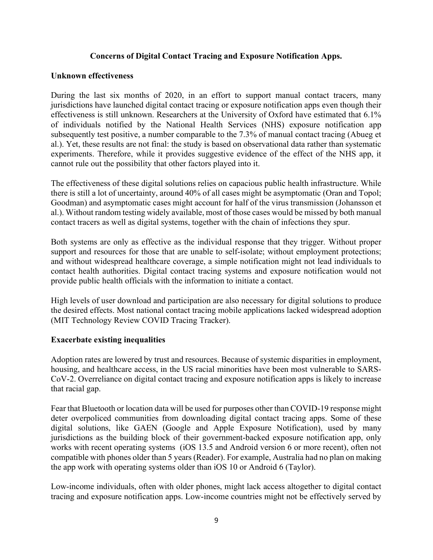### Concerns of Digital Contact Tracing and Exposure Notification Apps.

### Unknown effectiveness

During the last six months of 2020, in an effort to support manual contact tracers, many jurisdictions have launched digital contact tracing or exposure notification apps even though their effectiveness is still unknown. Researchers at the University of Oxford have estimated that 6.1% of individuals notified by the National Health Services (NHS) exposure notification app subsequently test positive, a number comparable to the 7.3% of manual contact tracing (Abueg et al.). Yet, these results are not final: the study is based on observational data rather than systematic experiments. Therefore, while it provides suggestive evidence of the effect of the NHS app, it cannot rule out the possibility that other factors played into it.

The effectiveness of these digital solutions relies on capacious public health infrastructure. While there is still a lot of uncertainty, around 40% of all cases might be asymptomatic (Oran and Topol; Goodman) and asymptomatic cases might account for half of the virus transmission (Johansson et al.). Without random testing widely available, most of those cases would be missed by both manual contact tracers as well as digital systems, together with the chain of infections they spur.

Both systems are only as effective as the individual response that they trigger. Without proper support and resources for those that are unable to self-isolate; without employment protections; and without widespread healthcare coverage, a simple notification might not lead individuals to contact health authorities. Digital contact tracing systems and exposure notification would not provide public health officials with the information to initiate a contact.

High levels of user download and participation are also necessary for digital solutions to produce the desired effects. Most national contact tracing mobile applications lacked widespread adoption (MIT Technology Review COVID Tracing Tracker).

## Exacerbate existing inequalities

Adoption rates are lowered by trust and resources. Because of systemic disparities in employment, housing, and healthcare access, in the US racial minorities have been most vulnerable to SARS-CoV-2. Overreliance on digital contact tracing and exposure notification apps is likely to increase that racial gap.

Fear that Bluetooth or location data will be used for purposes other than COVID-19 response might deter overpoliced communities from downloading digital contact tracing apps. Some of these digital solutions, like GAEN (Google and Apple Exposure Notification), used by many jurisdictions as the building block of their government-backed exposure notification app, only works with recent operating systems (iOS 13.5 and Android version 6 or more recent), often not compatible with phones older than 5 years (Reader). For example, Australia had no plan on making the app work with operating systems older than iOS 10 or Android 6 (Taylor).

Low-income individuals, often with older phones, might lack access altogether to digital contact tracing and exposure notification apps. Low-income countries might not be effectively served by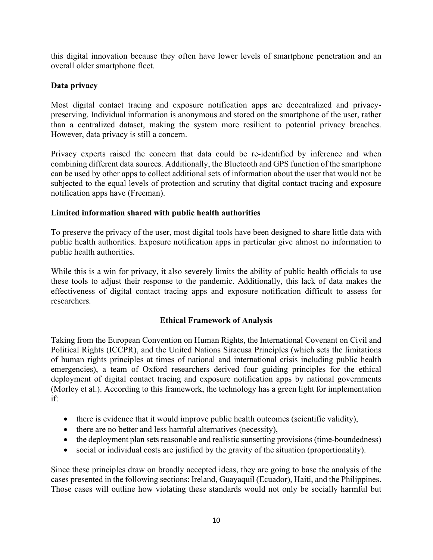this digital innovation because they often have lower levels of smartphone penetration and an overall older smartphone fleet.

## Data privacy

Most digital contact tracing and exposure notification apps are decentralized and privacypreserving. Individual information is anonymous and stored on the smartphone of the user, rather than a centralized dataset, making the system more resilient to potential privacy breaches. However, data privacy is still a concern.

Privacy experts raised the concern that data could be re-identified by inference and when combining different data sources. Additionally, the Bluetooth and GPS function of the smartphone can be used by other apps to collect additional sets of information about the user that would not be subjected to the equal levels of protection and scrutiny that digital contact tracing and exposure notification apps have (Freeman).

### Limited information shared with public health authorities

To preserve the privacy of the user, most digital tools have been designed to share little data with public health authorities. Exposure notification apps in particular give almost no information to public health authorities.

While this is a win for privacy, it also severely limits the ability of public health officials to use these tools to adjust their response to the pandemic. Additionally, this lack of data makes the effectiveness of digital contact tracing apps and exposure notification difficult to assess for researchers.

## Ethical Framework of Analysis

Taking from the European Convention on Human Rights, the International Covenant on Civil and Political Rights (ICCPR), and the United Nations Siracusa Principles (which sets the limitations of human rights principles at times of national and international crisis including public health emergencies), a team of Oxford researchers derived four guiding principles for the ethical deployment of digital contact tracing and exposure notification apps by national governments (Morley et al.). According to this framework, the technology has a green light for implementation if:

- there is evidence that it would improve public health outcomes (scientific validity),
- there are no better and less harmful alternatives (necessity),
- the deployment plan sets reasonable and realistic sunsetting provisions (time-boundedness)
- social or individual costs are justified by the gravity of the situation (proportionality).

Since these principles draw on broadly accepted ideas, they are going to base the analysis of the cases presented in the following sections: Ireland, Guayaquil (Ecuador), Haiti, and the Philippines. Those cases will outline how violating these standards would not only be socially harmful but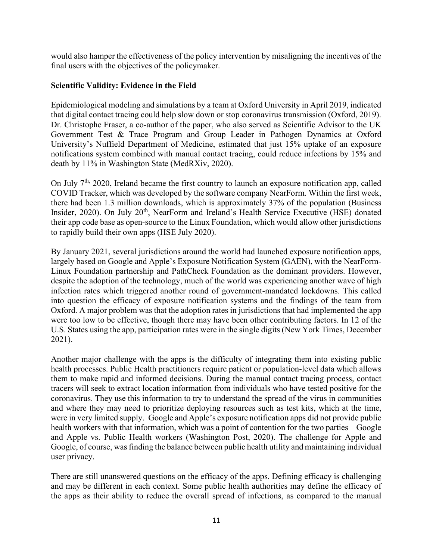would also hamper the effectiveness of the policy intervention by misaligning the incentives of the final users with the objectives of the policymaker.

### Scientific Validity: Evidence in the Field

Epidemiological modeling and simulations by a team at Oxford University in April 2019, indicated that digital contact tracing could help slow down or stop coronavirus transmission (Oxford, 2019). Dr. Christophe Fraser, a co-author of the paper, who also served as Scientific Advisor to the UK Government Test & Trace Program and Group Leader in Pathogen Dynamics at Oxford University's Nuffield Department of Medicine, estimated that just 15% uptake of an exposure notifications system combined with manual contact tracing, could reduce infections by 15% and death by 11% in Washington State (MedRXiv, 2020).

On July  $7<sup>th</sup>$ , 2020, Ireland became the first country to launch an exposure notification app, called COVID Tracker, which was developed by the software company NearForm. Within the first week, there had been 1.3 million downloads, which is approximately 37% of the population (Business Insider, 2020). On July 20<sup>th</sup>, NearForm and Ireland's Health Service Executive (HSE) donated their app code base as open-source to the Linux Foundation, which would allow other jurisdictions to rapidly build their own apps (HSE July 2020).

By January 2021, several jurisdictions around the world had launched exposure notification apps, largely based on Google and Apple's Exposure Notification System (GAEN), with the NearForm-Linux Foundation partnership and PathCheck Foundation as the dominant providers. However, despite the adoption of the technology, much of the world was experiencing another wave of high infection rates which triggered another round of government-mandated lockdowns. This called into question the efficacy of exposure notification systems and the findings of the team from Oxford. A major problem was that the adoption rates in jurisdictions that had implemented the app were too low to be effective, though there may have been other contributing factors. In 12 of the U.S. States using the app, participation rates were in the single digits (New York Times, December 2021).

Another major challenge with the apps is the difficulty of integrating them into existing public health processes. Public Health practitioners require patient or population-level data which allows them to make rapid and informed decisions. During the manual contact tracing process, contact tracers will seek to extract location information from individuals who have tested positive for the coronavirus. They use this information to try to understand the spread of the virus in communities and where they may need to prioritize deploying resources such as test kits, which at the time, were in very limited supply. Google and Apple's exposure notification apps did not provide public health workers with that information, which was a point of contention for the two parties – Google and Apple vs. Public Health workers (Washington Post, 2020). The challenge for Apple and Google, of course, was finding the balance between public health utility and maintaining individual user privacy.

There are still unanswered questions on the efficacy of the apps. Defining efficacy is challenging and may be different in each context. Some public health authorities may define the efficacy of the apps as their ability to reduce the overall spread of infections, as compared to the manual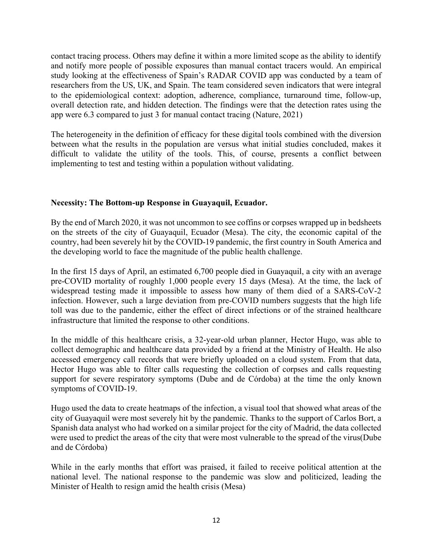contact tracing process. Others may define it within a more limited scope as the ability to identify and notify more people of possible exposures than manual contact tracers would. An empirical study looking at the effectiveness of Spain's RADAR COVID app was conducted by a team of researchers from the US, UK, and Spain. The team considered seven indicators that were integral to the epidemiological context: adoption, adherence, compliance, turnaround time, follow-up, overall detection rate, and hidden detection. The findings were that the detection rates using the app were 6.3 compared to just 3 for manual contact tracing (Nature, 2021)

The heterogeneity in the definition of efficacy for these digital tools combined with the diversion between what the results in the population are versus what initial studies concluded, makes it difficult to validate the utility of the tools. This, of course, presents a conflict between implementing to test and testing within a population without validating.

### Necessity: The Bottom-up Response in Guayaquil, Ecuador.

By the end of March 2020, it was not uncommon to see coffins or corpses wrapped up in bedsheets on the streets of the city of Guayaquil, Ecuador (Mesa). The city, the economic capital of the country, had been severely hit by the COVID-19 pandemic, the first country in South America and the developing world to face the magnitude of the public health challenge.

In the first 15 days of April, an estimated 6,700 people died in Guayaquil, a city with an average pre-COVID mortality of roughly 1,000 people every 15 days (Mesa). At the time, the lack of widespread testing made it impossible to assess how many of them died of a SARS-CoV-2 infection. However, such a large deviation from pre-COVID numbers suggests that the high life toll was due to the pandemic, either the effect of direct infections or of the strained healthcare infrastructure that limited the response to other conditions.

In the middle of this healthcare crisis, a 32-year-old urban planner, Hector Hugo, was able to collect demographic and healthcare data provided by a friend at the Ministry of Health. He also accessed emergency call records that were briefly uploaded on a cloud system. From that data, Hector Hugo was able to filter calls requesting the collection of corpses and calls requesting support for severe respiratory symptoms (Dube and de Córdoba) at the time the only known symptoms of COVID-19.

Hugo used the data to create heatmaps of the infection, a visual tool that showed what areas of the city of Guayaquil were most severely hit by the pandemic. Thanks to the support of Carlos Bort, a Spanish data analyst who had worked on a similar project for the city of Madrid, the data collected were used to predict the areas of the city that were most vulnerable to the spread of the virus(Dube and de Córdoba)

While in the early months that effort was praised, it failed to receive political attention at the national level. The national response to the pandemic was slow and politicized, leading the Minister of Health to resign amid the health crisis (Mesa)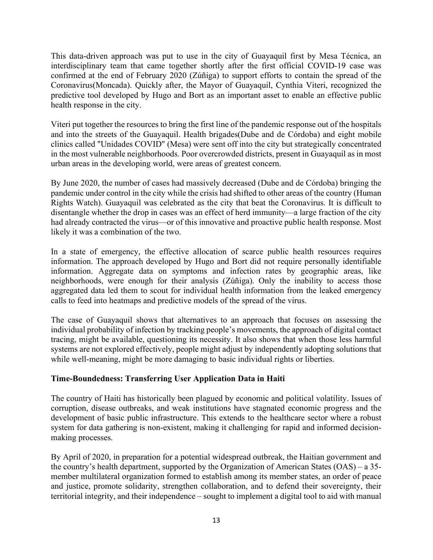This data-driven approach was put to use in the city of Guayaquil first by Mesa Técnica, an interdisciplinary team that came together shortly after the first official COVID-19 case was confirmed at the end of February 2020 (Zúñiga) to support efforts to contain the spread of the Coronavirus(Moncada). Quickly after, the Mayor of Guayaquil, Cynthia Viteri, recognized the predictive tool developed by Hugo and Bort as an important asset to enable an effective public health response in the city.

Viteri put together the resources to bring the first line of the pandemic response out of the hospitals and into the streets of the Guayaquil. Health brigades(Dube and de Córdoba) and eight mobile clinics called "Unidades COVID" (Mesa) were sent off into the city but strategically concentrated in the most vulnerable neighborhoods. Poor overcrowded districts, present in Guayaquil as in most urban areas in the developing world, were areas of greatest concern.

By June 2020, the number of cases had massively decreased (Dube and de Córdoba) bringing the pandemic under control in the city while the crisis had shifted to other areas of the country (Human Rights Watch). Guayaquil was celebrated as the city that beat the Coronavirus. It is difficult to disentangle whether the drop in cases was an effect of herd immunity—a large fraction of the city had already contracted the virus—or of this innovative and proactive public health response. Most likely it was a combination of the two.

In a state of emergency, the effective allocation of scarce public health resources requires information. The approach developed by Hugo and Bort did not require personally identifiable information. Aggregate data on symptoms and infection rates by geographic areas, like neighborhoods, were enough for their analysis (Zúñiga). Only the inability to access those aggregated data led them to scout for individual health information from the leaked emergency calls to feed into heatmaps and predictive models of the spread of the virus.

The case of Guayaquil shows that alternatives to an approach that focuses on assessing the individual probability of infection by tracking people's movements, the approach of digital contact tracing, might be available, questioning its necessity. It also shows that when those less harmful systems are not explored effectively, people might adjust by independently adopting solutions that while well-meaning, might be more damaging to basic individual rights or liberties.

## Time-Boundedness: Transferring User Application Data in Haiti

The country of Haiti has historically been plagued by economic and political volatility. Issues of corruption, disease outbreaks, and weak institutions have stagnated economic progress and the development of basic public infrastructure. This extends to the healthcare sector where a robust system for data gathering is non-existent, making it challenging for rapid and informed decisionmaking processes.

By April of 2020, in preparation for a potential widespread outbreak, the Haitian government and the country's health department, supported by the Organization of American States (OAS) – a 35 member multilateral organization formed to establish among its member states, an order of peace and justice, promote solidarity, strengthen collaboration, and to defend their sovereignty, their territorial integrity, and their independence – sought to implement a digital tool to aid with manual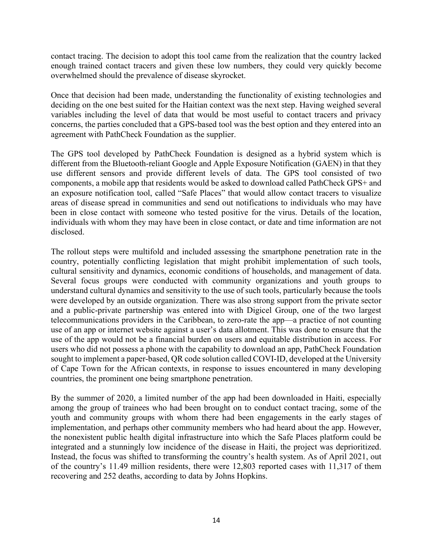contact tracing. The decision to adopt this tool came from the realization that the country lacked enough trained contact tracers and given these low numbers, they could very quickly become overwhelmed should the prevalence of disease skyrocket.

Once that decision had been made, understanding the functionality of existing technologies and deciding on the one best suited for the Haitian context was the next step. Having weighed several variables including the level of data that would be most useful to contact tracers and privacy concerns, the parties concluded that a GPS-based tool was the best option and they entered into an agreement with PathCheck Foundation as the supplier.

The GPS tool developed by PathCheck Foundation is designed as a hybrid system which is different from the Bluetooth-reliant Google and Apple Exposure Notification (GAEN) in that they use different sensors and provide different levels of data. The GPS tool consisted of two components, a mobile app that residents would be asked to download called PathCheck GPS+ and an exposure notification tool, called "Safe Places" that would allow contact tracers to visualize areas of disease spread in communities and send out notifications to individuals who may have been in close contact with someone who tested positive for the virus. Details of the location, individuals with whom they may have been in close contact, or date and time information are not disclosed.

The rollout steps were multifold and included assessing the smartphone penetration rate in the country, potentially conflicting legislation that might prohibit implementation of such tools, cultural sensitivity and dynamics, economic conditions of households, and management of data. Several focus groups were conducted with community organizations and youth groups to understand cultural dynamics and sensitivity to the use of such tools, particularly because the tools were developed by an outside organization. There was also strong support from the private sector and a public-private partnership was entered into with Digicel Group, one of the two largest telecommunications providers in the Caribbean, to zero-rate the app—a practice of not counting use of an app or internet website against a user's data allotment. This was done to ensure that the use of the app would not be a financial burden on users and equitable distribution in access. For users who did not possess a phone with the capability to download an app, PathCheck Foundation sought to implement a paper-based, QR code solution called COVI-ID, developed at the University of Cape Town for the African contexts, in response to issues encountered in many developing countries, the prominent one being smartphone penetration.

By the summer of 2020, a limited number of the app had been downloaded in Haiti, especially among the group of trainees who had been brought on to conduct contact tracing, some of the youth and community groups with whom there had been engagements in the early stages of implementation, and perhaps other community members who had heard about the app. However, the nonexistent public health digital infrastructure into which the Safe Places platform could be integrated and a stunningly low incidence of the disease in Haiti, the project was deprioritized. Instead, the focus was shifted to transforming the country's health system. As of April 2021, out of the country's 11.49 million residents, there were 12,803 reported cases with 11,317 of them recovering and 252 deaths, according to data by Johns Hopkins.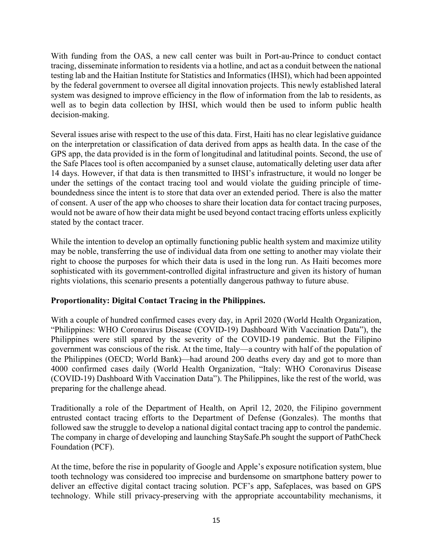With funding from the OAS, a new call center was built in Port-au-Prince to conduct contact tracing, disseminate information to residents via a hotline, and act as a conduit between the national testing lab and the Haitian Institute for Statistics and Informatics (IHSI), which had been appointed by the federal government to oversee all digital innovation projects. This newly established lateral system was designed to improve efficiency in the flow of information from the lab to residents, as well as to begin data collection by IHSI, which would then be used to inform public health decision-making.

Several issues arise with respect to the use of this data. First, Haiti has no clear legislative guidance on the interpretation or classification of data derived from apps as health data. In the case of the GPS app, the data provided is in the form of longitudinal and latitudinal points. Second, the use of the Safe Places tool is often accompanied by a sunset clause, automatically deleting user data after 14 days. However, if that data is then transmitted to IHSI's infrastructure, it would no longer be under the settings of the contact tracing tool and would violate the guiding principle of timeboundedness since the intent is to store that data over an extended period. There is also the matter of consent. A user of the app who chooses to share their location data for contact tracing purposes, would not be aware of how their data might be used beyond contact tracing efforts unless explicitly stated by the contact tracer.

While the intention to develop an optimally functioning public health system and maximize utility may be noble, transferring the use of individual data from one setting to another may violate their right to choose the purposes for which their data is used in the long run. As Haiti becomes more sophisticated with its government-controlled digital infrastructure and given its history of human rights violations, this scenario presents a potentially dangerous pathway to future abuse.

## Proportionality: Digital Contact Tracing in the Philippines.

With a couple of hundred confirmed cases every day, in April 2020 (World Health Organization, "Philippines: WHO Coronavirus Disease (COVID-19) Dashboard With Vaccination Data"), the Philippines were still spared by the severity of the COVID-19 pandemic. But the Filipino government was conscious of the risk. At the time, Italy—a country with half of the population of the Philippines (OECD; World Bank)—had around 200 deaths every day and got to more than 4000 confirmed cases daily (World Health Organization, "Italy: WHO Coronavirus Disease (COVID-19) Dashboard With Vaccination Data"). The Philippines, like the rest of the world, was preparing for the challenge ahead.

Traditionally a role of the Department of Health, on April 12, 2020, the Filipino government entrusted contact tracing efforts to the Department of Defense (Gonzales). The months that followed saw the struggle to develop a national digital contact tracing app to control the pandemic. The company in charge of developing and launching StaySafe.Ph sought the support of PathCheck Foundation (PCF).

At the time, before the rise in popularity of Google and Apple's exposure notification system, blue tooth technology was considered too imprecise and burdensome on smartphone battery power to deliver an effective digital contact tracing solution. PCF's app, Safeplaces, was based on GPS technology. While still privacy-preserving with the appropriate accountability mechanisms, it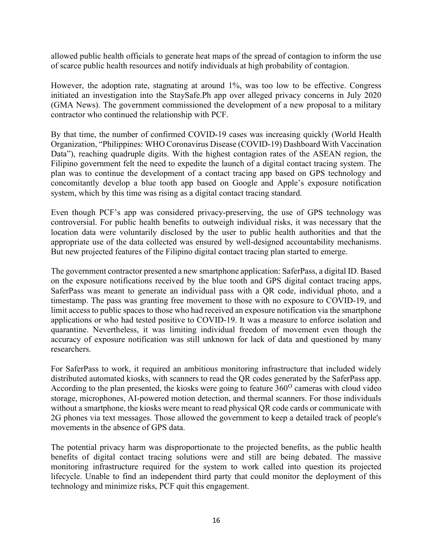allowed public health officials to generate heat maps of the spread of contagion to inform the use of scarce public health resources and notify individuals at high probability of contagion.

However, the adoption rate, stagnating at around 1%, was too low to be effective. Congress initiated an investigation into the StaySafe.Ph app over alleged privacy concerns in July 2020 (GMA News). The government commissioned the development of a new proposal to a military contractor who continued the relationship with PCF.

By that time, the number of confirmed COVID-19 cases was increasing quickly (World Health Organization, "Philippines: WHO Coronavirus Disease (COVID-19) Dashboard With Vaccination Data"), reaching quadruple digits. With the highest contagion rates of the ASEAN region, the Filipino government felt the need to expedite the launch of a digital contact tracing system. The plan was to continue the development of a contact tracing app based on GPS technology and concomitantly develop a blue tooth app based on Google and Apple's exposure notification system, which by this time was rising as a digital contact tracing standard.

Even though PCF's app was considered privacy-preserving, the use of GPS technology was controversial. For public health benefits to outweigh individual risks, it was necessary that the location data were voluntarily disclosed by the user to public health authorities and that the appropriate use of the data collected was ensured by well-designed accountability mechanisms. But new projected features of the Filipino digital contact tracing plan started to emerge.

The government contractor presented a new smartphone application: SaferPass, a digital ID. Based on the exposure notifications received by the blue tooth and GPS digital contact tracing apps, SaferPass was meant to generate an individual pass with a QR code, individual photo, and a timestamp. The pass was granting free movement to those with no exposure to COVID-19, and limit access to public spaces to those who had received an exposure notification via the smartphone applications or who had tested positive to COVID-19. It was a measure to enforce isolation and quarantine. Nevertheless, it was limiting individual freedom of movement even though the accuracy of exposure notification was still unknown for lack of data and questioned by many researchers.

For SaferPass to work, it required an ambitious monitoring infrastructure that included widely distributed automated kiosks, with scanners to read the QR codes generated by the SaferPass app. According to the plan presented, the kiosks were going to feature  $360^{\circ}$  cameras with cloud video storage, microphones, AI-powered motion detection, and thermal scanners. For those individuals without a smartphone, the kiosks were meant to read physical QR code cards or communicate with 2G phones via text messages. Those allowed the government to keep a detailed track of people's movements in the absence of GPS data.

The potential privacy harm was disproportionate to the projected benefits, as the public health benefits of digital contact tracing solutions were and still are being debated. The massive monitoring infrastructure required for the system to work called into question its projected lifecycle. Unable to find an independent third party that could monitor the deployment of this technology and minimize risks, PCF quit this engagement.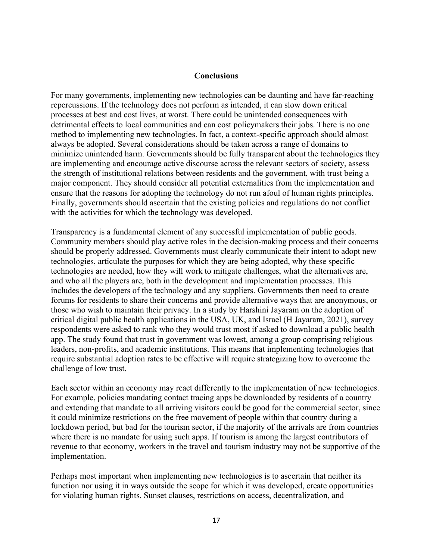#### Conclusions

For many governments, implementing new technologies can be daunting and have far-reaching repercussions. If the technology does not perform as intended, it can slow down critical processes at best and cost lives, at worst. There could be unintended consequences with detrimental effects to local communities and can cost policymakers their jobs. There is no one method to implementing new technologies. In fact, a context-specific approach should almost always be adopted. Several considerations should be taken across a range of domains to minimize unintended harm. Governments should be fully transparent about the technologies they are implementing and encourage active discourse across the relevant sectors of society, assess the strength of institutional relations between residents and the government, with trust being a major component. They should consider all potential externalities from the implementation and ensure that the reasons for adopting the technology do not run afoul of human rights principles. Finally, governments should ascertain that the existing policies and regulations do not conflict with the activities for which the technology was developed.

Transparency is a fundamental element of any successful implementation of public goods. Community members should play active roles in the decision-making process and their concerns should be properly addressed. Governments must clearly communicate their intent to adopt new technologies, articulate the purposes for which they are being adopted, why these specific technologies are needed, how they will work to mitigate challenges, what the alternatives are, and who all the players are, both in the development and implementation processes. This includes the developers of the technology and any suppliers. Governments then need to create forums for residents to share their concerns and provide alternative ways that are anonymous, or those who wish to maintain their privacy. In a study by Harshini Jayaram on the adoption of critical digital public health applications in the USA, UK, and Israel (H Jayaram, 2021), survey respondents were asked to rank who they would trust most if asked to download a public health app. The study found that trust in government was lowest, among a group comprising religious leaders, non-profits, and academic institutions. This means that implementing technologies that require substantial adoption rates to be effective will require strategizing how to overcome the challenge of low trust.

Each sector within an economy may react differently to the implementation of new technologies. For example, policies mandating contact tracing apps be downloaded by residents of a country and extending that mandate to all arriving visitors could be good for the commercial sector, since it could minimize restrictions on the free movement of people within that country during a lockdown period, but bad for the tourism sector, if the majority of the arrivals are from countries where there is no mandate for using such apps. If tourism is among the largest contributors of revenue to that economy, workers in the travel and tourism industry may not be supportive of the implementation.

Perhaps most important when implementing new technologies is to ascertain that neither its function nor using it in ways outside the scope for which it was developed, create opportunities for violating human rights. Sunset clauses, restrictions on access, decentralization, and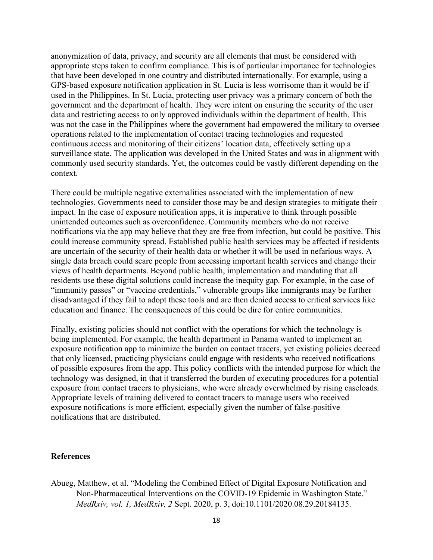anonymization of data, privacy, and security are all elements that must be considered with appropriate steps taken to confirm compliance. This is of particular importance for technologies that have been developed in one country and distributed internationally. For example, using a GPS-based exposure notification application in St. Lucia is less worrisome than it would be if used in the Philippines. In St. Lucia, protecting user privacy was a primary concern of both the government and the department of health. They were intent on ensuring the security of the user data and restricting access to only approved individuals within the department of health. This was not the case in the Philippines where the government had empowered the military to oversee operations related to the implementation of contact tracing technologies and requested continuous access and monitoring of their citizens' location data, effectively setting up a surveillance state. The application was developed in the United States and was in alignment with commonly used security standards. Yet, the outcomes could be vastly different depending on the context.

There could be multiple negative externalities associated with the implementation of new technologies. Governments need to consider those may be and design strategies to mitigate their impact. In the case of exposure notification apps, it is imperative to think through possible unintended outcomes such as overconfidence. Community members who do not receive notifications via the app may believe that they are free from infection, but could be positive. This could increase community spread. Established public health services may be affected if residents are uncertain of the security of their health data or whether it will be used in nefarious ways. A single data breach could scare people from accessing important health services and change their views of health departments. Beyond public health, implementation and mandating that all residents use these digital solutions could increase the inequity gap. For example, in the case of "immunity passes" or "vaccine credentials," vulnerable groups like immigrants may be further disadvantaged if they fail to adopt these tools and are then denied access to critical services like education and finance. The consequences of this could be dire for entire communities.

Finally, existing policies should not conflict with the operations for which the technology is being implemented. For example, the health department in Panama wanted to implement an exposure notification app to minimize the burden on contact tracers, yet existing policies decreed that only licensed, practicing physicians could engage with residents who received notifications of possible exposures from the app. This policy conflicts with the intended purpose for which the technology was designed, in that it transferred the burden of executing procedures for a potential exposure from contact tracers to physicians, who were already overwhelmed by rising caseloads. Appropriate levels of training delivered to contact tracers to manage users who received exposure notifications is more efficient, especially given the number of false-positive notifications that are distributed.

#### References

Abueg, Matthew, et al. "Modeling the Combined Effect of Digital Exposure Notification and Non-Pharmaceutical Interventions on the COVID-19 Epidemic in Washington State." MedRxiv, vol. 1, MedRxiv, 2 Sept. 2020, p. 3, doi:10.1101/2020.08.29.20184135.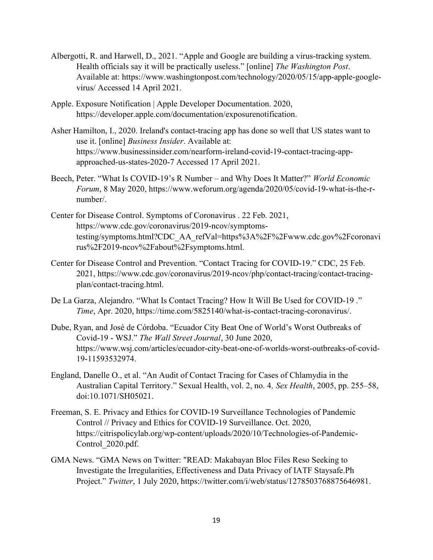- Albergotti, R. and Harwell, D., 2021. "Apple and Google are building a virus-tracking system. Health officials say it will be practically useless." [online] The Washington Post. Available at: https://www.washingtonpost.com/technology/2020/05/15/app-apple-googlevirus/ Accessed 14 April 2021.
- Apple. Exposure Notification | Apple Developer Documentation. 2020, https://developer.apple.com/documentation/exposurenotification.
- Asher Hamilton, I., 2020. Ireland's contact-tracing app has done so well that US states want to use it. [online] Business Insider. Available at: https://www.businessinsider.com/nearform-ireland-covid-19-contact-tracing-appapproached-us-states-2020-7 Accessed 17 April 2021.
- Beech, Peter. "What Is COVID-19's R Number and Why Does It Matter?" World Economic Forum, 8 May 2020, https://www.weforum.org/agenda/2020/05/covid-19-what-is-the-rnumber/.
- Center for Disease Control. Symptoms of Coronavirus . 22 Feb. 2021, https://www.cdc.gov/coronavirus/2019-ncov/symptomstesting/symptoms.html?CDC\_AA\_refVal=https%3A%2F%2Fwww.cdc.gov%2Fcoronavi rus%2F2019-ncov%2Fabout%2Fsymptoms.html.
- Center for Disease Control and Prevention. "Contact Tracing for COVID-19." CDC, 25 Feb. 2021, https://www.cdc.gov/coronavirus/2019-ncov/php/contact-tracing/contact-tracingplan/contact-tracing.html.
- De La Garza, Alejandro. "What Is Contact Tracing? How It Will Be Used for COVID-19 ." Time, Apr. 2020, https://time.com/5825140/what-is-contact-tracing-coronavirus/.
- Dube, Ryan, and José de Córdoba. "Ecuador City Beat One of World's Worst Outbreaks of Covid-19 - WSJ." The Wall Street Journal, 30 June 2020, https://www.wsj.com/articles/ecuador-city-beat-one-of-worlds-worst-outbreaks-of-covid-19-11593532974.
- England, Danelle O., et al. "An Audit of Contact Tracing for Cases of Chlamydia in the Australian Capital Territory." Sexual Health, vol. 2, no. 4, Sex Health, 2005, pp. 255–58, doi:10.1071/SH05021.
- Freeman, S. E. Privacy and Ethics for COVID-19 Surveillance Technologies of Pandemic Control // Privacy and Ethics for COVID-19 Surveillance. Oct. 2020, https://citrispolicylab.org/wp-content/uploads/2020/10/Technologies-of-Pandemic-Control\_2020.pdf.
- GMA News. "GMA News on Twitter: "READ: Makabayan Bloc Files Reso Seeking to Investigate the Irregularities, Effectiveness and Data Privacy of IATF Staysafe.Ph Project." Twitter, 1 July 2020, https://twitter.com/i/web/status/1278503768875646981.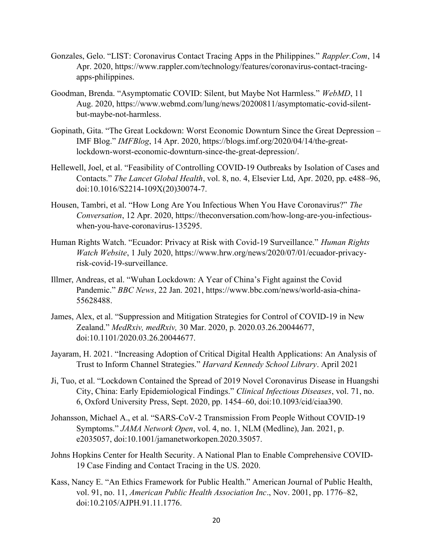- Gonzales, Gelo. "LIST: Coronavirus Contact Tracing Apps in the Philippines." Rappler.Com, 14 Apr. 2020, https://www.rappler.com/technology/features/coronavirus-contact-tracingapps-philippines.
- Goodman, Brenda. "Asymptomatic COVID: Silent, but Maybe Not Harmless." WebMD, 11 Aug. 2020, https://www.webmd.com/lung/news/20200811/asymptomatic-covid-silentbut-maybe-not-harmless.
- Gopinath, Gita. "The Great Lockdown: Worst Economic Downturn Since the Great Depression IMF Blog." IMFBlog, 14 Apr. 2020, https://blogs.imf.org/2020/04/14/the-greatlockdown-worst-economic-downturn-since-the-great-depression/.
- Hellewell, Joel, et al. "Feasibility of Controlling COVID-19 Outbreaks by Isolation of Cases and Contacts." The Lancet Global Health, vol. 8, no. 4, Elsevier Ltd, Apr. 2020, pp. e488–96, doi:10.1016/S2214-109X(20)30074-7.
- Housen, Tambri, et al. "How Long Are You Infectious When You Have Coronavirus?" The Conversation, 12 Apr. 2020, https://theconversation.com/how-long-are-you-infectiouswhen-you-have-coronavirus-135295.
- Human Rights Watch. "Ecuador: Privacy at Risk with Covid-19 Surveillance." Human Rights Watch Website, 1 July 2020, https://www.hrw.org/news/2020/07/01/ecuador-privacyrisk-covid-19-surveillance.
- Illmer, Andreas, et al. "Wuhan Lockdown: A Year of China's Fight against the Covid Pandemic." BBC News, 22 Jan. 2021, https://www.bbc.com/news/world-asia-china-55628488.
- James, Alex, et al. "Suppression and Mitigation Strategies for Control of COVID-19 in New Zealand." MedRxiv, medRxiv, 30 Mar. 2020, p. 2020.03.26.20044677, doi:10.1101/2020.03.26.20044677.
- Jayaram, H. 2021. "Increasing Adoption of Critical Digital Health Applications: An Analysis of Trust to Inform Channel Strategies." Harvard Kennedy School Library. April 2021
- Ji, Tuo, et al. "Lockdown Contained the Spread of 2019 Novel Coronavirus Disease in Huangshi City, China: Early Epidemiological Findings." Clinical Infectious Diseases, vol. 71, no. 6, Oxford University Press, Sept. 2020, pp. 1454–60, doi:10.1093/cid/ciaa390.
- Johansson, Michael A., et al. "SARS-CoV-2 Transmission From People Without COVID-19 Symptoms." JAMA Network Open, vol. 4, no. 1, NLM (Medline), Jan. 2021, p. e2035057, doi:10.1001/jamanetworkopen.2020.35057.
- Johns Hopkins Center for Health Security. A National Plan to Enable Comprehensive COVID-19 Case Finding and Contact Tracing in the US. 2020.
- Kass, Nancy E. "An Ethics Framework for Public Health." American Journal of Public Health, vol. 91, no. 11, American Public Health Association Inc., Nov. 2001, pp. 1776–82, doi:10.2105/AJPH.91.11.1776.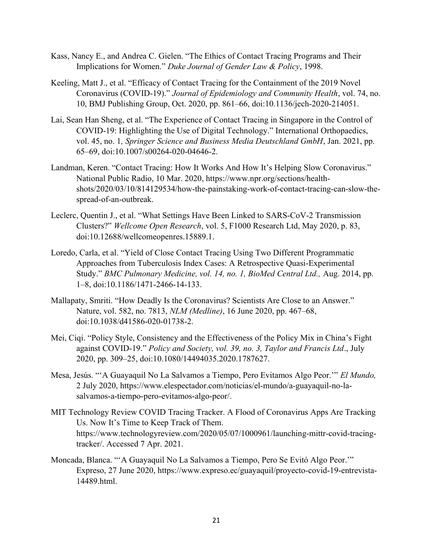- Kass, Nancy E., and Andrea C. Gielen. "The Ethics of Contact Tracing Programs and Their Implications for Women." Duke Journal of Gender Law & Policy, 1998.
- Keeling, Matt J., et al. "Efficacy of Contact Tracing for the Containment of the 2019 Novel Coronavirus (COVID-19)." Journal of Epidemiology and Community Health, vol. 74, no. 10, BMJ Publishing Group, Oct. 2020, pp. 861–66, doi:10.1136/jech-2020-214051.
- Lai, Sean Han Sheng, et al. "The Experience of Contact Tracing in Singapore in the Control of COVID-19: Highlighting the Use of Digital Technology." International Orthopaedics, vol. 45, no. 1, Springer Science and Business Media Deutschland GmbH, Jan. 2021, pp. 65–69, doi:10.1007/s00264-020-04646-2.
- Landman, Keren. "Contact Tracing: How It Works And How It's Helping Slow Coronavirus." National Public Radio, 10 Mar. 2020, https://www.npr.org/sections/healthshots/2020/03/10/814129534/how-the-painstaking-work-of-contact-tracing-can-slow-thespread-of-an-outbreak.
- Leclerc, Quentin J., et al. "What Settings Have Been Linked to SARS-CoV-2 Transmission Clusters?" Wellcome Open Research, vol. 5, F1000 Research Ltd, May 2020, p. 83, doi:10.12688/wellcomeopenres.15889.1.
- Loredo, Carla, et al. "Yield of Close Contact Tracing Using Two Different Programmatic Approaches from Tuberculosis Index Cases: A Retrospective Quasi-Experimental Study." BMC Pulmonary Medicine, vol. 14, no. 1, BioMed Central Ltd., Aug. 2014, pp. 1–8, doi:10.1186/1471-2466-14-133.
- Mallapaty, Smriti. "How Deadly Is the Coronavirus? Scientists Are Close to an Answer." Nature, vol. 582, no. 7813, NLM (Medline), 16 June 2020, pp. 467–68, doi:10.1038/d41586-020-01738-2.
- Mei, Ciqi. "Policy Style, Consistency and the Effectiveness of the Policy Mix in China's Fight against COVID-19." Policy and Society, vol. 39, no. 3, Taylor and Francis Ltd., July 2020, pp. 309–25, doi:10.1080/14494035.2020.1787627.
- Mesa, Jesús. "'A Guayaquil No La Salvamos a Tiempo, Pero Evitamos Algo Peor.'" El Mundo, 2 July 2020, https://www.elespectador.com/noticias/el-mundo/a-guayaquil-no-lasalvamos-a-tiempo-pero-evitamos-algo-peor/.
- MIT Technology Review COVID Tracing Tracker. A Flood of Coronavirus Apps Are Tracking Us. Now It's Time to Keep Track of Them. https://www.technologyreview.com/2020/05/07/1000961/launching-mittr-covid-tracingtracker/. Accessed 7 Apr. 2021.
- Moncada, Blanca. "'A Guayaquil No La Salvamos a Tiempo, Pero Se Evitó Algo Peor.'" Expreso, 27 June 2020, https://www.expreso.ec/guayaquil/proyecto-covid-19-entrevista-14489.html.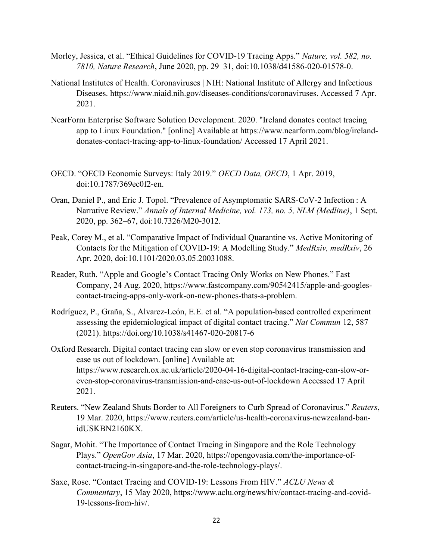- Morley, Jessica, et al. "Ethical Guidelines for COVID-19 Tracing Apps." Nature, vol. 582, no. 7810, Nature Research, June 2020, pp. 29–31, doi:10.1038/d41586-020-01578-0.
- National Institutes of Health. Coronaviruses | NIH: National Institute of Allergy and Infectious Diseases. https://www.niaid.nih.gov/diseases-conditions/coronaviruses. Accessed 7 Apr. 2021.
- NearForm Enterprise Software Solution Development. 2020. "Ireland donates contact tracing app to Linux Foundation." [online] Available at https://www.nearform.com/blog/irelanddonates-contact-tracing-app-to-linux-foundation/ Accessed 17 April 2021.
- OECD. "OECD Economic Surveys: Italy 2019." OECD Data, OECD, 1 Apr. 2019, doi:10.1787/369ec0f2-en.
- Oran, Daniel P., and Eric J. Topol. "Prevalence of Asymptomatic SARS-CoV-2 Infection : A Narrative Review." Annals of Internal Medicine, vol. 173, no. 5, NLM (Medline), 1 Sept. 2020, pp. 362–67, doi:10.7326/M20-3012.
- Peak, Corey M., et al. "Comparative Impact of Individual Quarantine vs. Active Monitoring of Contacts for the Mitigation of COVID-19: A Modelling Study." MedRxiv, medRxiv, 26 Apr. 2020, doi:10.1101/2020.03.05.20031088.
- Reader, Ruth. "Apple and Google's Contact Tracing Only Works on New Phones." Fast Company, 24 Aug. 2020, https://www.fastcompany.com/90542415/apple-and-googlescontact-tracing-apps-only-work-on-new-phones-thats-a-problem.
- Rodríguez, P., Graña, S., Alvarez-León, E.E. et al. "A population-based controlled experiment assessing the epidemiological impact of digital contact tracing." Nat Commun 12, 587 (2021). https://doi.org/10.1038/s41467-020-20817-6
- Oxford Research. Digital contact tracing can slow or even stop coronavirus transmission and ease us out of lockdown. [online] Available at: https://www.research.ox.ac.uk/article/2020-04-16-digital-contact-tracing-can-slow-oreven-stop-coronavirus-transmission-and-ease-us-out-of-lockdown Accessed 17 April 2021.
- Reuters. "New Zealand Shuts Border to All Foreigners to Curb Spread of Coronavirus." Reuters, 19 Mar. 2020, https://www.reuters.com/article/us-health-coronavirus-newzealand-banidUSKBN2160KX.
- Sagar, Mohit. "The Importance of Contact Tracing in Singapore and the Role Technology Plays." OpenGov Asia, 17 Mar. 2020, https://opengovasia.com/the-importance-ofcontact-tracing-in-singapore-and-the-role-technology-plays/.
- Saxe, Rose. "Contact Tracing and COVID-19: Lessons From HIV." ACLU News & Commentary, 15 May 2020, https://www.aclu.org/news/hiv/contact-tracing-and-covid-19-lessons-from-hiv/.